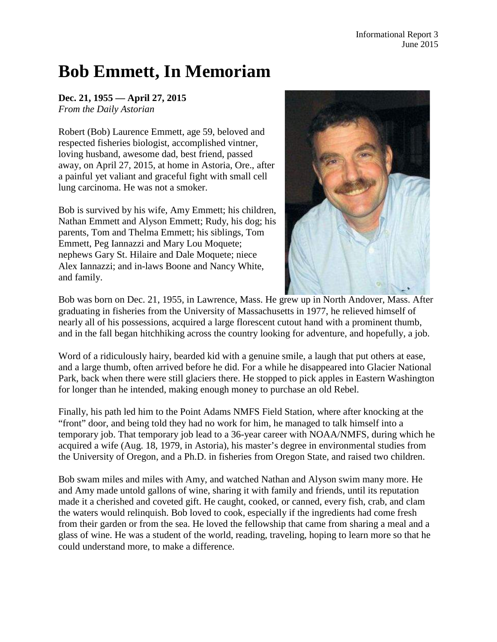## **Bob Emmett, In Memoriam**

## **Dec. 21, 1955 — April 27, 2015**

*From the Daily Astorian*

Robert (Bob) Laurence Emmett, age 59, beloved and respected fisheries biologist, accomplished vintner, loving husband, awesome dad, best friend, passed away, on April 27, 2015, at home in Astoria, Ore., after a painful yet valiant and graceful fight with small cell lung carcinoma. He was not a smoker.

Bob is survived by his wife, Amy Emmett; his children, Nathan Emmett and Alyson Emmett; Rudy, his dog; his parents, Tom and Thelma Emmett; his siblings, Tom Emmett, Peg Iannazzi and Mary Lou Moquete; nephews Gary St. Hilaire and Dale Moquete; niece Alex Iannazzi; and in-laws Boone and Nancy White, and family.



Bob was born on Dec. 21, 1955, in Lawrence, Mass. He grew up in North Andover, Mass. After graduating in fisheries from the University of Massachusetts in 1977, he relieved himself of nearly all of his possessions, acquired a large florescent cutout hand with a prominent thumb, and in the fall began hitchhiking across the country looking for adventure, and hopefully, a job.

Word of a ridiculously hairy, bearded kid with a genuine smile, a laugh that put others at ease, and a large thumb, often arrived before he did. For a while he disappeared into Glacier National Park, back when there were still glaciers there. He stopped to pick apples in Eastern Washington for longer than he intended, making enough money to purchase an old Rebel.

Finally, his path led him to the Point Adams NMFS Field Station, where after knocking at the "front" door, and being told they had no work for him, he managed to talk himself into a temporary job. That temporary job lead to a 36-year career with NOAA/NMFS, during which he acquired a wife (Aug. 18, 1979, in Astoria), his master's degree in environmental studies from the University of Oregon, and a Ph.D. in fisheries from Oregon State, and raised two children.

Bob swam miles and miles with Amy, and watched Nathan and Alyson swim many more. He and Amy made untold gallons of wine, sharing it with family and friends, until its reputation made it a cherished and coveted gift. He caught, cooked, or canned, every fish, crab, and clam the waters would relinquish. Bob loved to cook, especially if the ingredients had come fresh from their garden or from the sea. He loved the fellowship that came from sharing a meal and a glass of wine. He was a student of the world, reading, traveling, hoping to learn more so that he could understand more, to make a difference.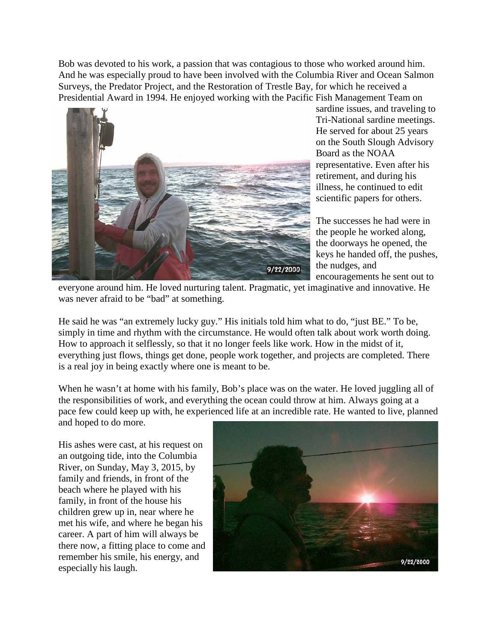Bob was devoted to his work, a passion that was contagious to those who worked around him. And he was especially proud to have been involved with the Columbia River and Ocean Salmon Surveys, the Predator Project, and the Restoration of Trestle Bay, for which he received a Presidential Award in 1994. He enjoyed working with the Pacific Fish Management Team on



sardine issues, and traveling to Tri-National sardine meetings. He served for about 25 years on the South Slough Advisory Board as the NOAA representative. Even after his retirement, and during his illness, he continued to edit scientific papers for others.

The successes he had were in the people he worked along, the doorways he opened, the keys he handed off, the pushes, the nudges, and encouragements he sent out to

everyone around him. He loved nurturing talent. Pragmatic, yet imaginative and innovative. He was never afraid to be "bad" at something.

He said he was "an extremely lucky guy." His initials told him what to do, "just BE." To be, simply in time and rhythm with the circumstance. He would often talk about work worth doing. How to approach it selflessly, so that it no longer feels like work. How in the midst of it, everything just flows, things get done, people work together, and projects are completed. There is a real joy in being exactly where one is meant to be.

When he wasn't at home with his family, Bob's place was on the water. He loved juggling all of the responsibilities of work, and everything the ocean could throw at him. Always going at a pace few could keep up with, he experienced life at an incredible rate. He wanted to live, planned and hoped to do more.

His ashes were cast, at his request on an outgoing tide, into the Columbia River, on Sunday, May 3, 2015, by family and friends, in front of the beach where he played with his family, in front of the house his children grew up in, near where he met his wife, and where he began his career. A part of him will always be there now, a fitting place to come and remember his smile, his energy, and especially his laugh.